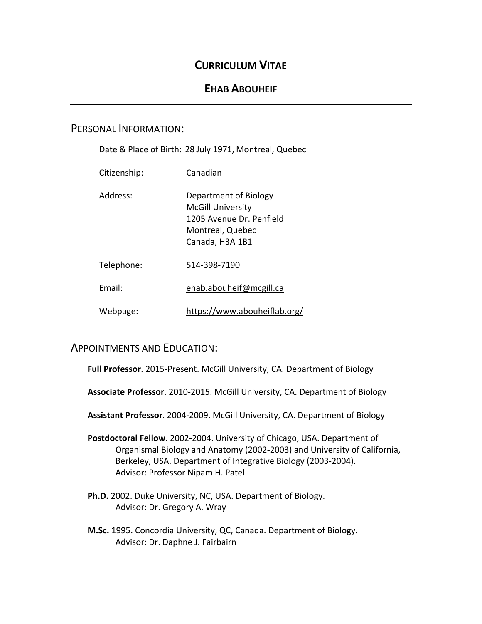# **CURRICULUM VITAE**

# **EHAB ABOUHEIF**

# PERSONAL INFORMATION:

Date & Place of Birth: 28 July 1971, Montreal, Quebec

| Citizenship: | Canadian                                                                                                             |
|--------------|----------------------------------------------------------------------------------------------------------------------|
| Address:     | Department of Biology<br><b>McGill University</b><br>1205 Avenue Dr. Penfield<br>Montreal, Quebec<br>Canada, H3A 1B1 |
| Telephone:   | 514-398-7190                                                                                                         |
| Fmail:       | ehab.abouheif@mcgill.ca                                                                                              |

Webpage: https://www.abouheiflab.org/

# APPOINTMENTS AND EDUCATION:

**Full Professor**. 2015-Present. McGill University, CA. Department of Biology

**Associate Professor**. 2010-2015. McGill University, CA. Department of Biology

**Assistant Professor**. 2004-2009. McGill University, CA. Department of Biology

- **Postdoctoral Fellow**. 2002-2004. University of Chicago, USA. Department of Organismal Biology and Anatomy (2002-2003) and University of California, Berkeley, USA. Department of Integrative Biology (2003-2004). Advisor: Professor Nipam H. Patel
- **Ph.D.** 2002. Duke University, NC, USA. Department of Biology. Advisor: Dr. Gregory A. Wray
- **M.Sc.** 1995. Concordia University, QC, Canada. Department of Biology. Advisor: Dr. Daphne J. Fairbairn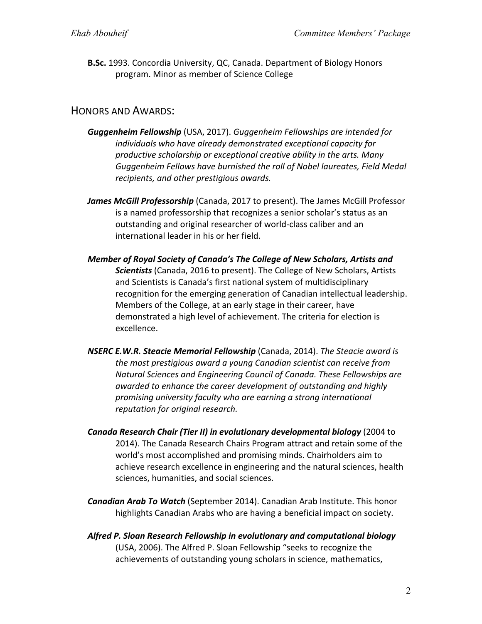**B.Sc.** 1993. Concordia University, QC, Canada. Department of Biology Honors program. Minor as member of Science College

### HONORS AND AWARDS:

- *Guggenheim Fellowship* (USA, 2017). *Guggenheim Fellowships are intended for individuals who have already demonstrated exceptional capacity for productive scholarship or exceptional creative ability in the arts. Many Guggenheim Fellows have burnished the roll of Nobel laureates, Field Medal recipients, and other prestigious awards.*
- *James McGill Professorship* (Canada, 2017 to present). The James McGill Professor is a named professorship that recognizes a senior scholar's status as an outstanding and original researcher of world-class caliber and an international leader in his or her field.
- *Member of Royal Society of Canada's The College of New Scholars, Artists and Scientists* (Canada, 2016 to present). The College of New Scholars, Artists and Scientists is Canada's first national system of multidisciplinary recognition for the emerging generation of Canadian intellectual leadership. Members of the College, at an early stage in their career, have demonstrated a high level of achievement. The criteria for election is excellence.
- *NSERC E.W.R. Steacie Memorial Fellowship* (Canada, 2014). *The Steacie award is the most prestigious award a young Canadian scientist can receive from Natural Sciences and Engineering Council of Canada. These Fellowships are awarded to enhance the career development of outstanding and highly promising university faculty who are earning a strong international reputation for original research.*
- *Canada Research Chair (Tier II) in evolutionary developmental biology* (2004 to 2014). The Canada Research Chairs Program attract and retain some of the world's most accomplished and promising minds. Chairholders aim to achieve research excellence in engineering and the natural sciences, health sciences, humanities, and social sciences.
- *Canadian Arab To Watch* (September 2014). Canadian Arab Institute. This honor highlights Canadian Arabs who are having a beneficial impact on society.
- *Alfred P. Sloan Research Fellowship in evolutionary and computational biology* (USA, 2006). The Alfred P. Sloan Fellowship "seeks to recognize the achievements of outstanding young scholars in science, mathematics,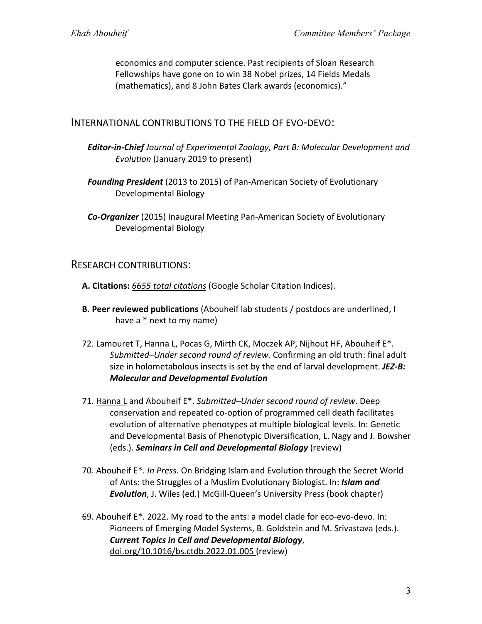economics and computer science. Past recipients of Sloan Research Fellowships have gone on to win 38 Nobel prizes, 14 Fields Medals (mathematics), and 8 John Bates Clark awards (economics)."

INTERNATIONAL CONTRIBUTIONS TO THE FIELD OF EVO-DEVO:

- *Editor-in-Chief Journal of Experimental Zoology, Part B: Molecular Development and Evolution* (January 2019 to present)
- *Founding President* (2013 to 2015) of Pan-American Society of Evolutionary Developmental Biology

*Co-Organizer* (2015) Inaugural Meeting Pan-American Society of Evolutionary Developmental Biology

## RESEARCH CONTRIBUTIONS:

- **A. Citations:** *6655 total citations* (Google Scholar Citation Indices).
- **B. Peer reviewed publications** (Abouheif lab students / postdocs are underlined, I have a \* next to my name)
- 72. Lamouret T, Hanna L, Pocas G, Mirth CK, Moczek AP, Nijhout HF, Abouheif E\*. *Submitted–Under second round of review.* Confirming an old truth: final adult size in holometabolous insects is set by the end of larval development. *JEZ-B: Molecular and Developmental Evolution*
- 71. Hanna L and Abouheif E\*. *Submitted–Under second round of review*. Deep conservation and repeated co-option of programmed cell death facilitates evolution of alternative phenotypes at multiple biological levels. In: Genetic and Developmental Basis of Phenotypic Diversification, L. Nagy and J. Bowsher (eds.). *Seminars in Cell and Developmental Biology* (review)
- 70. Abouheif E\*. *In Press*. On Bridging Islam and Evolution through the Secret World of Ants: the Struggles of a Muslim Evolutionary Biologist. In: *Islam and Evolution*, J. Wiles (ed.) McGill-Queen's University Press (book chapter)
- 69. Abouheif E\*. 2022. My road to the ants: a model clade for eco-evo-devo. In: Pioneers of Emerging Model Systems, B. Goldstein and M. Srivastava (eds.). *Current Topics in Cell and Developmental Biology*, doi.org/10.1016/bs.ctdb.2022.01.005 (review)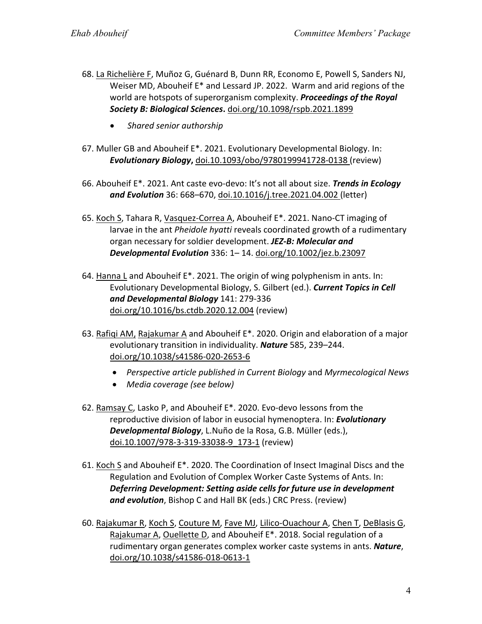- 68. La Richelière F, Muñoz G, Guénard B, Dunn RR, Economo E, Powell S, Sanders NJ, Weiser MD, Abouheif E\* and Lessard JP. 2022. Warm and arid regions of the world are hotspots of superorganism complexity. *Proceedings of the Royal Society B: Biological Sciences***.** doi.org/10.1098/rspb.2021.1899
	- *Shared senior authorship*
- 67. Muller GB and Abouheif E\*. 2021. Evolutionary Developmental Biology. In: *Evolutionary Biology***,** doi.10.1093/obo/9780199941728-0138 (review)
- 66. Abouheif E\*. 2021. Ant caste evo-devo: It's not all about size. *Trends in Ecology and Evolution* 36: 668–670, doi.10.1016/j.tree.2021.04.002 (letter)
- 65. Koch S, Tahara R, Vasquez-Correa A, Abouheif E\*. 2021. Nano-CT imaging of larvae in the ant *Pheidole hyatti* reveals coordinated growth of a rudimentary organ necessary for soldier development. *JEZ-B: Molecular and Developmental Evolution* 336: 1– 14. doi.org/10.1002/jez.b.23097
- 64. Hanna L and Abouheif E\*. 2021. The origin of wing polyphenism in ants. In: Evolutionary Developmental Biology, S. Gilbert (ed.). *Current Topics in Cell and Developmental Biology* 141: 279-336 doi.org/10.1016/bs.ctdb.2020.12.004 (review)
- 63. Rafiqi AM, Rajakumar A and Abouheif E\*. 2020. Origin and elaboration of a major evolutionary transition in individuality. *Nature* 585, 239–244. doi.org/10.1038/s41586-020-2653-6
	- *Perspective article published in Current Biology* and *Myrmecological News*
	- *Media coverage (see below)*
- 62. Ramsay C, Lasko P, and Abouheif E\*. 2020. Evo-devo lessons from the reproductive division of labor in eusocial hymenoptera. In: *Evolutionary Developmental Biology*, L.Nuño de la Rosa, G.B. Müller (eds.), doi.10.1007/978-3-319-33038-9\_173-1 (review)
- 61. Koch S and Abouheif E\*. 2020. The Coordination of Insect Imaginal Discs and the Regulation and Evolution of Complex Worker Caste Systems of Ants. In: *Deferring Development: Setting aside cells for future use in development and evolution*, Bishop C and Hall BK (eds.) CRC Press. (review)
- 60. Rajakumar R, Koch S, Couture M, Fave MJ, Lilico-Ouachour A, Chen T, DeBlasis G, Rajakumar A, Ouellette D, and Abouheif E\*. 2018. Social regulation of a rudimentary organ generates complex worker caste systems in ants. *Nature*, doi.org/10.1038/s41586-018-0613-1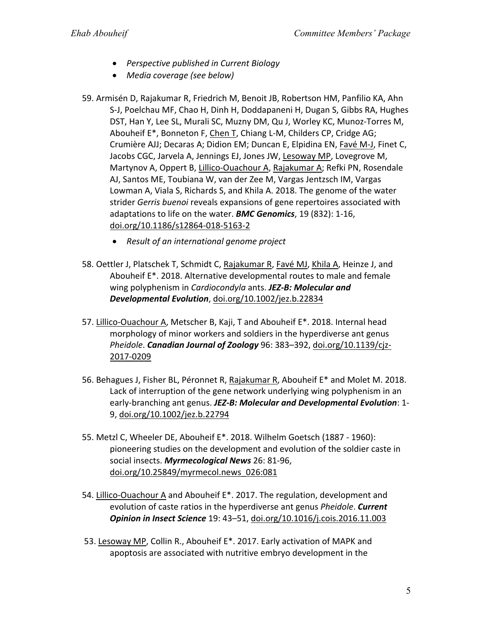- *Perspective published in Current Biology*
- *Media coverage (see below)*
- 59. Armisén D, Rajakumar R, Friedrich M, Benoit JB, Robertson HM, Panfilio KA, Ahn S-J, Poelchau MF, Chao H, Dinh H, Doddapaneni H, Dugan S, Gibbs RA, Hughes DST, Han Y, Lee SL, Murali SC, Muzny DM, Qu J, Worley KC, Munoz-Torres M, Abouheif E\*, Bonneton F, Chen T, Chiang L-M, Childers CP, Cridge AG; Crumière AJJ; Decaras A; Didion EM; Duncan E, Elpidina EN, Favé M-J, Finet C, Jacobs CGC, Jarvela A, Jennings EJ, Jones JW, Lesoway MP, Lovegrove M, Martynov A, Oppert B, Lillico-Ouachour A, Rajakumar A; Refki PN, Rosendale AJ, Santos ME, Toubiana W, van der Zee M, Vargas Jentzsch IM, Vargas Lowman A, Viala S, Richards S, and Khila A. 2018. The genome of the water strider *Gerris buenoi* reveals expansions of gene repertoires associated with adaptations to life on the water. *BMC Genomics*, 19 (832): 1-16, doi.org/10.1186/s12864-018-5163-2
	- *Result of an international genome project*
- 58. Oettler J, Platschek T, Schmidt C, Rajakumar R, Favé MJ, Khila A, Heinze J, and Abouheif E\*. 2018. Alternative developmental routes to male and female wing polyphenism in *Cardiocondyla* ants. *JEZ-B: Molecular and Developmental Evolution*, doi.org/10.1002/jez.b.22834
- 57. Lillico-Ouachour A, Metscher B, Kaji, T and Abouheif E\*. 2018. Internal head morphology of minor workers and soldiers in the hyperdiverse ant genus *Pheidole*. *Canadian Journal of Zoology* 96: 383–392, doi.org/10.1139/cjz-2017-0209
- 56. Behagues J, Fisher BL, Péronnet R, Rajakumar R, Abouheif E\* and Molet M. 2018. Lack of interruption of the gene network underlying wing polyphenism in an early-branching ant genus. *JEZ-B: Molecular and Developmental Evolution*: 1- 9, doi.org/10.1002/jez.b.22794
- 55. Metzl C, Wheeler DE, Abouheif E\*. 2018. Wilhelm Goetsch (1887 1960): pioneering studies on the development and evolution of the soldier caste in social insects. *Myrmecological News* 26: 81-96, doi.org/10.25849/myrmecol.news\_026:081
- 54. Lillico-Ouachour A and Abouheif E\*. 2017. The regulation, development and evolution of caste ratios in the hyperdiverse ant genus *Pheidole*. *Current Opinion in Insect Science* 19: 43–51, doi.org/10.1016/j.cois.2016.11.003
- 53. Lesoway MP, Collin R., Abouheif E\*. 2017. Early activation of MAPK and apoptosis are associated with nutritive embryo development in the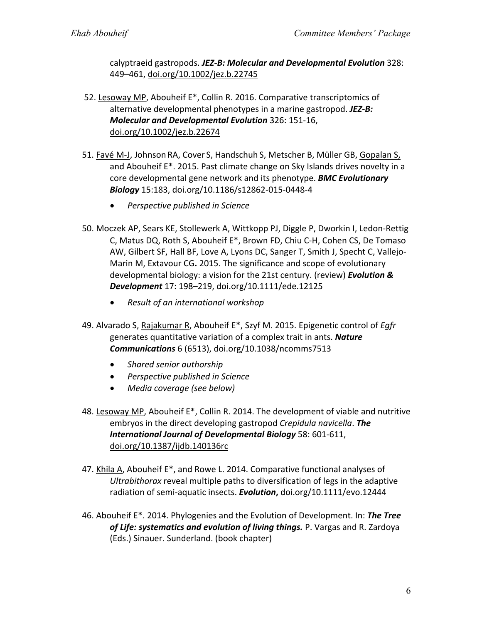calyptraeid gastropods. *JEZ-B: Molecular and Developmental Evolution* 328: 449–461, doi.org/10.1002/jez.b.22745

- 52. Lesoway MP, Abouheif E\*, Collin R. 2016. Comparative transcriptomics of alternative developmental phenotypes in a marine gastropod. *JEZ-B: Molecular and Developmental Evolution* 326: 151-16, doi.org/10.1002/jez.b.22674
- 51. Favé M-J, Johnson RA, Cover S, Handschuh S, Metscher B, Müller GB, Gopalan S, and Abouheif E\*. 2015. Past climate change on Sky Islands drives novelty in a core developmental gene network and its phenotype. *BMC Evolutionary Biology* 15:183, doi.org/10.1186/s12862-015-0448-4
	- *Perspective published in Science*
- 50. Moczek AP, Sears KE, Stollewerk A, Wittkopp PJ, Diggle P, Dworkin I, Ledon-Rettig C, Matus DQ, Roth S, Abouheif E\*, Brown FD, Chiu C-H, Cohen CS, De Tomaso AW, Gilbert SF, Hall BF, Love A, Lyons DC, Sanger T, Smith J, Specht C, Vallejo-Marin M, Extavour CG**.** 2015. The significance and scope of evolutionary developmental biology: a vision for the 21st century. (review) *Evolution & Development* 17: 198–219, doi.org/10.1111/ede.12125
	- *Result of an international workshop*
- 49. Alvarado S, Rajakumar R, Abouheif E\*, Szyf M. 2015. Epigenetic control of *Egfr* generates quantitative variation of a complex trait in ants. *Nature Communications* 6 (6513), doi.org/10.1038/ncomms7513
	- *Shared senior authorship*
	- *Perspective published in Science*
	- *Media coverage (see below)*
- 48. Lesoway MP, Abouheif E\*, Collin R. 2014. The development of viable and nutritive embryos in the direct developing gastropod *Crepidula navicella*. *The International Journal of Developmental Biology* 58: 601-611, doi.org/10.1387/ijdb.140136rc
- 47. Khila A, Abouheif E\*, and Rowe L. 2014. Comparative functional analyses of *Ultrabithorax* reveal multiple paths to diversification of legs in the adaptive radiation of semi-aquatic insects. *Evolution***,** doi.org/10.1111/evo.12444
- 46. Abouheif E\*. 2014. Phylogenies and the Evolution of Development. In: *The Tree of Life: systematics and evolution of living things.* P. Vargas and R. Zardoya (Eds.) Sinauer. Sunderland. (book chapter)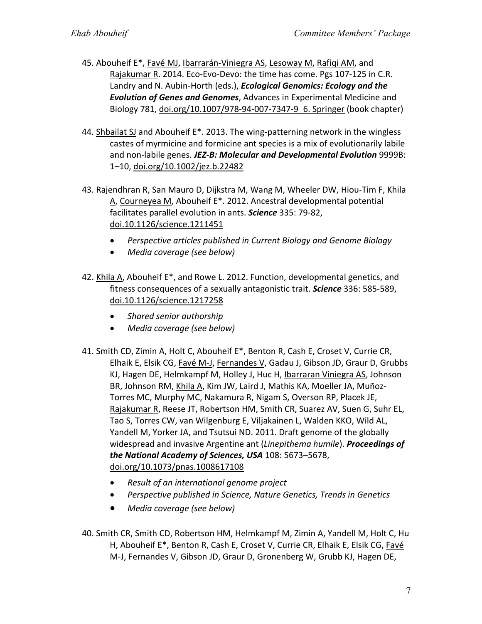- 45. Abouheif E\*, Favé MJ, Ibarrarán-Viniegra AS, Lesoway M, Rafiqi AM, and Rajakumar R. 2014. Eco-Evo-Devo: the time has come. Pgs 107-125 in C.R. Landry and N. Aubin-Horth (eds.), *Ecological Genomics: Ecology and the Evolution of Genes and Genomes*, Advances in Experimental Medicine and Biology 781, doi.org/10.1007/978-94-007-7347-9\_6. Springer (book chapter)
- 44. Shbailat SJ and Abouheif E\*. 2013. The wing-patterning network in the wingless castes of myrmicine and formicine ant species is a mix of evolutionarily labile and non-labile genes. *JEZ-B: Molecular and Developmental Evolution* 9999B: 1–10, doi.org/10.1002/jez.b.22482
- 43. Rajendhran R, San Mauro D, Dijkstra M, Wang M, Wheeler DW, Hiou-Tim F, Khila A, Courneyea M, Abouheif E\*. 2012. Ancestral developmental potential facilitates parallel evolution in ants. *Science* 335: 79-82, doi.10.1126/science.1211451
	- *Perspective articles published in Current Biology and Genome Biology*
	- *Media coverage (see below)*
- 42. Khila A, Abouheif E\*, and Rowe L. 2012. Function, developmental genetics, and fitness consequences of a sexually antagonistic trait. *Science* 336: 585-589, doi.10.1126/science.1217258
	- *Shared senior authorship*
	- *Media coverage (see below)*
- 41. Smith CD, Zimin A, Holt C, Abouheif E\*, Benton R, Cash E, Croset V, Currie CR, Elhaik E, Elsik CG, Favé M-J, Fernandes V, Gadau J, Gibson JD, Graur D, Grubbs KJ, Hagen DE, Helmkampf M, Holley J, Huc H, Ibarraran Viniegra AS, Johnson BR, Johnson RM, Khila A, Kim JW, Laird J, Mathis KA, Moeller JA, Muñoz-Torres MC, Murphy MC, Nakamura R, Nigam S, Overson RP, Placek JE, Rajakumar R, Reese JT, Robertson HM, Smith CR, Suarez AV, Suen G, Suhr EL, Tao S, Torres CW, van Wilgenburg E, Viljakainen L, Walden KKO, Wild AL, Yandell M, Yorker JA, and Tsutsui ND. 2011. Draft genome of the globally widespread and invasive Argentine ant (*Linepithema humile*). *Proceedings of the National Academy of Sciences, USA* 108: 5673–5678, doi.org/10.1073/pnas.1008617108
	- *Result of an international genome project*
	- *Perspective published in Science, Nature Genetics, Trends in Genetics*
	- *Media coverage (see below)*
- 40. Smith CR, Smith CD, Robertson HM, Helmkampf M, Zimin A, Yandell M, Holt C, Hu H, Abouheif E\*, Benton R, Cash E, Croset V, Currie CR, Elhaik E, Elsik CG, Favé M-J, Fernandes V, Gibson JD, Graur D, Gronenberg W, Grubb KJ, Hagen DE,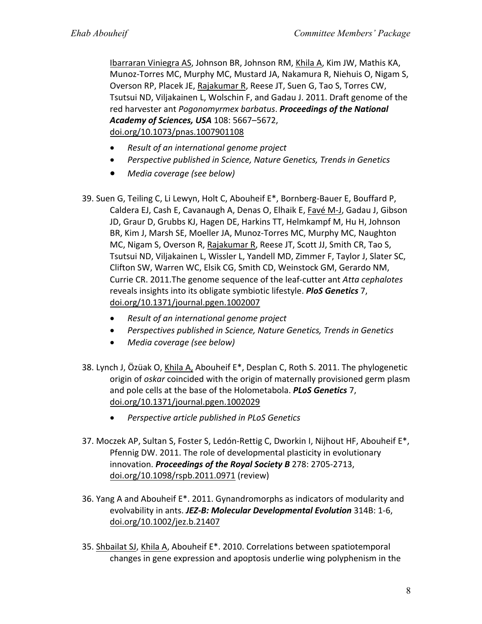Ibarraran Viniegra AS, Johnson BR, Johnson RM, Khila A, Kim JW, Mathis KA, Munoz-Torres MC, Murphy MC, Mustard JA, Nakamura R, Niehuis O, Nigam S, Overson RP, Placek JE, Rajakumar R, Reese JT, Suen G, Tao S, Torres CW, Tsutsui ND, Viljakainen L, Wolschin F, and Gadau J. 2011. Draft genome of the red harvester ant *Pogonomyrmex barbatus*. *Proceedings of the National Academy of Sciences, USA* 108: 5667–5672, doi.org/10.1073/pnas.1007901108

- *Result of an international genome project*
- *Perspective published in Science, Nature Genetics, Trends in Genetics*
- *Media coverage (see below)*
- 39. Suen G, Teiling C, Li Lewyn, Holt C, Abouheif E\*, Bornberg-Bauer E, Bouffard P, Caldera EJ, Cash E, Cavanaugh A, Denas O, Elhaik E, Favé M-J, Gadau J, Gibson JD, Graur D, Grubbs KJ, Hagen DE, Harkins TT, Helmkampf M, Hu H, Johnson BR, Kim J, Marsh SE, Moeller JA, Munoz-Torres MC, Murphy MC, Naughton MC, Nigam S, Overson R, Rajakumar R, Reese JT, Scott JJ, Smith CR, Tao S, Tsutsui ND, Viljakainen L, Wissler L, Yandell MD, Zimmer F, Taylor J, Slater SC, Clifton SW, Warren WC, Elsik CG, Smith CD, Weinstock GM, Gerardo NM, Currie CR. 2011.The genome sequence of the leaf-cutter ant *Atta cephalotes* reveals insights into its obligate symbiotic lifestyle. *PloS Genetics* 7, doi.org/10.1371/journal.pgen.1002007
	- *Result of an international genome project*
	- *Perspectives published in Science, Nature Genetics, Trends in Genetics*
	- *Media coverage (see below)*
- 38. Lynch J, Özüak O, Khila A, Abouheif E\*, Desplan C, Roth S. 2011. The phylogenetic origin of *oskar* coincided with the origin of maternally provisioned germ plasm and pole cells at the base of the Holometabola. *PLoS Genetics* 7, doi.org/10.1371/journal.pgen.1002029
	- *Perspective article published in PLoS Genetics*
- 37. Moczek AP, Sultan S, Foster S, Ledón-Rettig C, Dworkin I, Nijhout HF, Abouheif E\*, Pfennig DW. 2011. The role of developmental plasticity in evolutionary innovation. *Proceedings of the Royal Society B* 278: 2705-2713, doi.org/10.1098/rspb.2011.0971 (review)
- 36. Yang A and Abouheif E\*. 2011. Gynandromorphs as indicators of modularity and evolvability in ants. *JEZ-B: Molecular Developmental Evolution* 314B: 1-6, doi.org/10.1002/jez.b.21407
- 35. Shbailat SJ, Khila A, Abouheif E\*. 2010. Correlations between spatiotemporal changes in gene expression and apoptosis underlie wing polyphenism in the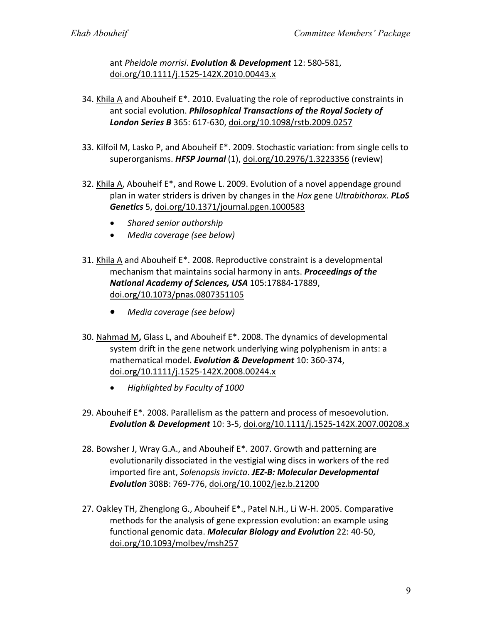ant *Pheidole morrisi*. *Evolution & Development* 12: 580-581, doi.org/10.1111/j.1525-142X.2010.00443.x

- 34. Khila A and Abouheif E\*. 2010. Evaluating the role of reproductive constraints in ant social evolution. *Philosophical Transactions of the Royal Society of London Series B* 365: 617-630, doi.org/10.1098/rstb.2009.0257
- 33. Kilfoil M, Lasko P, and Abouheif E\*. 2009. Stochastic variation: from single cells to superorganisms. *HFSP Journal* (1), doi.org/10.2976/1.3223356 (review)
- 32. Khila A, Abouheif E\*, and Rowe L. 2009. Evolution of a novel appendage ground plan in water striders is driven by changes in the *Hox* gene *Ultrabithorax*. *PLoS Genetics* 5, doi.org/10.1371/journal.pgen.1000583
	- *Shared senior authorship*
	- *Media coverage (see below)*
- 31. Khila A and Abouheif E\*. 2008. Reproductive constraint is a developmental mechanism that maintains social harmony in ants. *Proceedings of the National Academy of Sciences, USA* 105:17884-17889, doi.org/10.1073/pnas.0807351105
	- *Media coverage (see below)*
- 30. Nahmad M**,** Glass L, and Abouheif E\*. 2008. The dynamics of developmental system drift in the gene network underlying wing polyphenism in ants: a mathematical model**.** *Evolution & Development* 10: 360-374, doi.org/10.1111/j.1525-142X.2008.00244.x
	- *Highlighted by Faculty of 1000*
- 29. Abouheif E\*. 2008. Parallelism as the pattern and process of mesoevolution. *Evolution & Development* 10: 3-5, doi.org/10.1111/j.1525-142X.2007.00208.x
- 28. Bowsher J, Wray G.A., and Abouheif E\*. 2007. Growth and patterning are evolutionarily dissociated in the vestigial wing discs in workers of the red imported fire ant, *Solenopsis invicta*. *JEZ-B: Molecular Developmental Evolution* 308B: 769-776, doi.org/10.1002/jez.b.21200
- 27. Oakley TH, Zhenglong G., Abouheif E\*., Patel N.H., Li W-H. 2005. Comparative methods for the analysis of gene expression evolution: an example using functional genomic data. *Molecular Biology and Evolution* 22: 40-50, doi.org/10.1093/molbev/msh257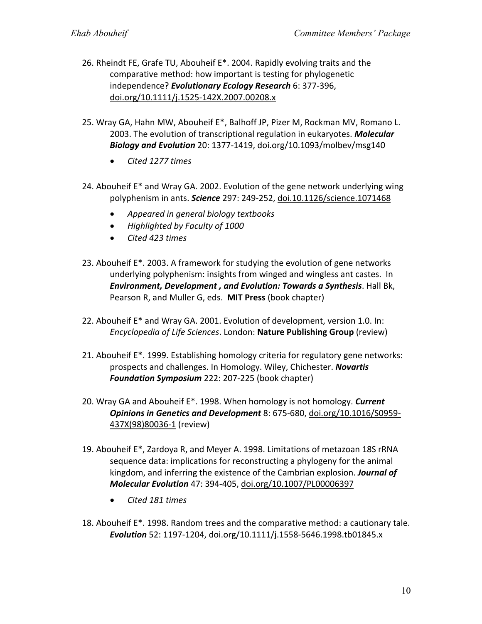- 26. Rheindt FE, Grafe TU, Abouheif E\*. 2004. Rapidly evolving traits and the comparative method: how important is testing for phylogenetic independence? *Evolutionary Ecology Research* 6: 377-396, doi.org/10.1111/j.1525-142X.2007.00208.x
- 25. Wray GA, Hahn MW, Abouheif E\*, Balhoff JP, Pizer M, Rockman MV, Romano L. 2003. The evolution of transcriptional regulation in eukaryotes. *Molecular Biology and Evolution* 20: 1377-1419, doi.org/10.1093/molbev/msg140
	- *Cited 1277 times*
- 24. Abouheif E\* and Wray GA. 2002. Evolution of the gene network underlying wing polyphenism in ants. *Science* 297: 249-252, doi.10.1126/science.1071468
	- *Appeared in general biology textbooks*
	- *Highlighted by Faculty of 1000*
	- *Cited 423 times*
- 23. Abouheif E\*. 2003. A framework for studying the evolution of gene networks underlying polyphenism: insights from winged and wingless ant castes. In *Environment, Development , and Evolution: Towards a Synthesis*. Hall Bk, Pearson R, and Muller G, eds. **MIT Press** (book chapter)
- 22. Abouheif E\* and Wray GA. 2001. Evolution of development, version 1.0. In: *Encyclopedia of Life Sciences*. London: **Nature Publishing Group** (review)
- 21. Abouheif E\*. 1999. Establishing homology criteria for regulatory gene networks: prospects and challenges. In Homology. Wiley, Chichester. *Novartis Foundation Symposium* 222: 207-225 (book chapter)
- 20. Wray GA and Abouheif E\*. 1998. When homology is not homology. *Current Opinions in Genetics and Development* 8: 675-680, doi.org/10.1016/S0959- 437X(98)80036-1 (review)
- 19. Abouheif E\*, Zardoya R, and Meyer A. 1998. Limitations of metazoan 18S rRNA sequence data: implications for reconstructing a phylogeny for the animal kingdom, and inferring the existence of the Cambrian explosion. *Journal of Molecular Evolution* 47: 394-405, doi.org/10.1007/PL00006397
	- *Cited 181 times*
- 18. Abouheif E\*. 1998. Random trees and the comparative method: a cautionary tale. *Evolution* 52: 1197-1204, doi.org/10.1111/j.1558-5646.1998.tb01845.x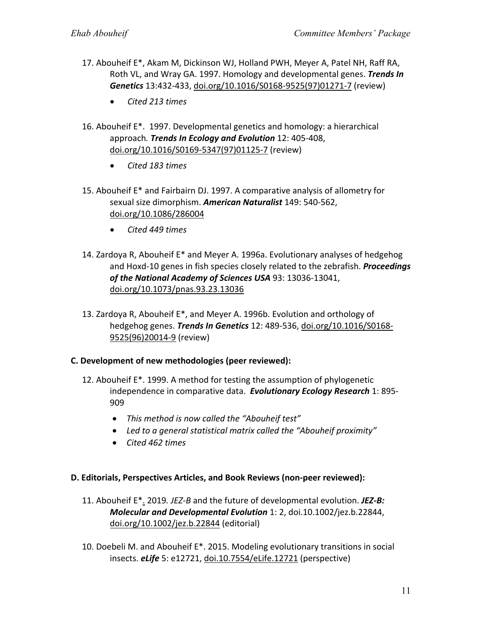- 17. Abouheif E\*, Akam M, Dickinson WJ, Holland PWH, Meyer A, Patel NH, Raff RA, Roth VL, and Wray GA. 1997. Homology and developmental genes. *Trends In Genetics* 13:432-433, doi.org/10.1016/S0168-9525(97)01271-7 (review)
	- *Cited 213 times*
- 16. Abouheif E\*. 1997. Developmental genetics and homology: a hierarchical approach*. Trends In Ecology and Evolution* 12: 405-408, doi.org/10.1016/S0169-5347(97)01125-7 (review)
	- *Cited 183 times*
- 15. Abouheif E\* and Fairbairn DJ. 1997. A comparative analysis of allometry for sexual size dimorphism. *American Naturalist* 149: 540-562, doi.org/10.1086/286004
	- *Cited 449 times*
- 14. Zardoya R, Abouheif E\* and Meyer A. 1996a. Evolutionary analyses of hedgehog and Hoxd-10 genes in fish species closely related to the zebrafish. *Proceedings of the National Academy of Sciences USA* 93: 13036-13041, doi.org/10.1073/pnas.93.23.13036
- 13. Zardoya R, Abouheif E\*, and Meyer A. 1996b. Evolution and orthology of hedgehog genes. *Trends In Genetics* 12: 489-536, doi.org/10.1016/S0168- 9525(96)20014-9 (review)

### **C. Development of new methodologies (peer reviewed):**

- 12. Abouheif E\*. 1999. A method for testing the assumption of phylogenetic independence in comparative data. *Evolutionary Ecology Research* 1: 895- 909
	- *This method is now called the "Abouheif test"*
	- *Led to a general statistical matrix called the "Abouheif proximity"*
	- *Cited 462 times*

### **D. Editorials, Perspectives Articles, and Book Reviews (non-peer reviewed):**

- 11. Abouheif E\*. 2019*. JEZ-B* and the future of developmental evolution. *JEZ-B: Molecular and Developmental Evolution* 1: 2, doi.10.1002/jez.b.22844, doi.org/10.1002/jez.b.22844 (editorial)
- 10. Doebeli M. and Abouheif E\*. 2015. Modeling evolutionary transitions in social insects. *eLife* 5: e12721, doi.10.7554/eLife.12721 (perspective)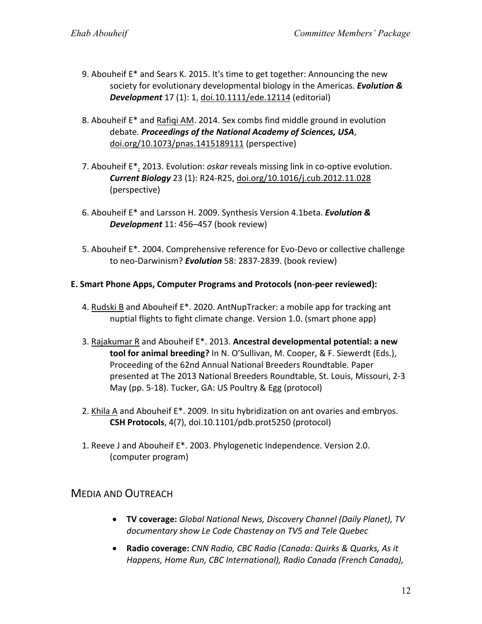- 9. Abouheif E\* and Sears K. 2015. It's time to get together: Announcing the new society for evolutionary developmental biology in the Americas. *Evolution & Development* 17 (1): 1, doi.10.1111/ede.12114 (editorial)
- 8. Abouheif E\* and Rafiqi AM. 2014. Sex combs find middle ground in evolution debate. *Proceedings of the National Academy of Sciences, USA*, doi.org/10.1073/pnas.1415189111 (perspective)
- 7. Abouheif E\*. 2013. Evolution: *oskar* reveals missing link in co-optive evolution. *Current Biology* 23 (1): R24-R25, doi.org/10.1016/j.cub.2012.11.028 (perspective)
- 6. Abouheif E\* and Larsson H. 2009. Synthesis Version 4.1beta. *Evolution & Development* 11: 456–457 (book review)
- 5. Abouheif E\*. 2004. Comprehensive reference for Evo-Devo or collective challenge to neo-Darwinism? *Evolution* 58: 2837-2839. (book review)

### **E. Smart Phone Apps, Computer Programs and Protocols (non-peer reviewed):**

- 4. Rudski B and Abouheif E\*. 2020. AntNupTracker: a mobile app for tracking ant nuptial flights to fight climate change. Version 1.0. (smart phone app)
- 3. Rajakumar R and Abouheif E\*. 2013. **Ancestral developmental potential: a new tool for animal breeding?** In N. O'Sullivan, M. Cooper, & F. Siewerdt (Eds.), Proceeding of the 62nd Annual National Breeders Roundtable. Paper presented at The 2013 National Breeders Roundtable, St. Louis, Missouri, 2-3 May (pp. 5-18). Tucker, GA: US Poultry & Egg (protocol)
- 2. Khila A and Abouheif E\*. 2009. In situ hybridization on ant ovaries and embryos. **CSH Protocols**, 4(7), doi.10.1101/pdb.prot5250 (protocol)
- 1. Reeve J and Abouheif E\*. 2003. Phylogenetic Independence. Version 2.0. (computer program)

# MEDIA AND OUTREACH

- **TV coverage:** *Global National News, Discovery Channel (Daily Planet), TV documentary show Le Code Chastenay on TV5 and Tele Quebec*
- **Radio coverage:** *CNN Radio, CBC Radio (Canada: Quirks & Quarks, As it Happens, Home Run, CBC International), Radio Canada (French Canada),*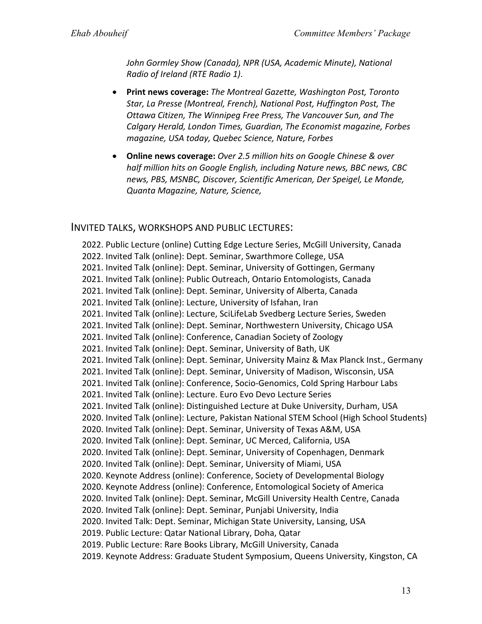*John Gormley Show (Canada), NPR (USA, Academic Minute), National Radio of Ireland (RTE Radio 1)*.

- **Print news coverage:** *The Montreal Gazette, Washington Post, Toronto Star, La Presse (Montreal, French), National Post, Huffington Post, The Ottawa Citizen, The Winnipeg Free Press, The Vancouver Sun, and The Calgary Herald, London Times, Guardian, The Economist magazine, Forbes magazine, USA today, Quebec Science, Nature, Forbes*
- **Online news coverage:** *Over 2.5 million hits on Google Chinese & over half million hits on Google English, including Nature news, BBC news, CBC news, PBS, MSNBC, Discover, Scientific American, Der Speigel, Le Monde, Quanta Magazine, Nature, Science,*

# INVITED TALKS, WORKSHOPS AND PUBLIC LECTURES:

2022. Public Lecture (online) Cutting Edge Lecture Series, McGill University, Canada 2022. Invited Talk (online): Dept. Seminar, Swarthmore College, USA 2021. Invited Talk (online): Dept. Seminar, University of Gottingen, Germany 2021. Invited Talk (online): Public Outreach, Ontario Entomologists, Canada 2021. Invited Talk (online): Dept. Seminar, University of Alberta, Canada 2021. Invited Talk (online): Lecture, University of Isfahan, Iran 2021. Invited Talk (online): Lecture, SciLifeLab Svedberg Lecture Series, Sweden 2021. Invited Talk (online): Dept. Seminar, Northwestern University, Chicago USA 2021. Invited Talk (online): Conference, Canadian Society of Zoology 2021. Invited Talk (online): Dept. Seminar, University of Bath, UK 2021. Invited Talk (online): Dept. Seminar, University Mainz & Max Planck Inst., Germany 2021. Invited Talk (online): Dept. Seminar, University of Madison, Wisconsin, USA 2021. Invited Talk (online): Conference, Socio-Genomics, Cold Spring Harbour Labs 2021. Invited Talk (online): Lecture. Euro Evo Devo Lecture Series 2021. Invited Talk (online): Distinguished Lecture at Duke University, Durham, USA 2020. Invited Talk (online): Lecture, Pakistan National STEM School (High School Students) 2020. Invited Talk (online): Dept. Seminar, University of Texas A&M, USA 2020. Invited Talk (online): Dept. Seminar, UC Merced, California, USA 2020. Invited Talk (online): Dept. Seminar, University of Copenhagen, Denmark 2020. Invited Talk (online): Dept. Seminar, University of Miami, USA 2020. Keynote Address (online): Conference, Society of Developmental Biology 2020. Keynote Address (online): Conference, Entomological Society of America 2020. Invited Talk (online): Dept. Seminar, McGill University Health Centre, Canada 2020. Invited Talk (online): Dept. Seminar, Punjabi University, India 2020. Invited Talk: Dept. Seminar, Michigan State University, Lansing, USA 2019. Public Lecture: Qatar National Library, Doha, Qatar 2019. Public Lecture: Rare Books Library, McGill University, Canada 2019. Keynote Address: Graduate Student Symposium, Queens University, Kingston, CA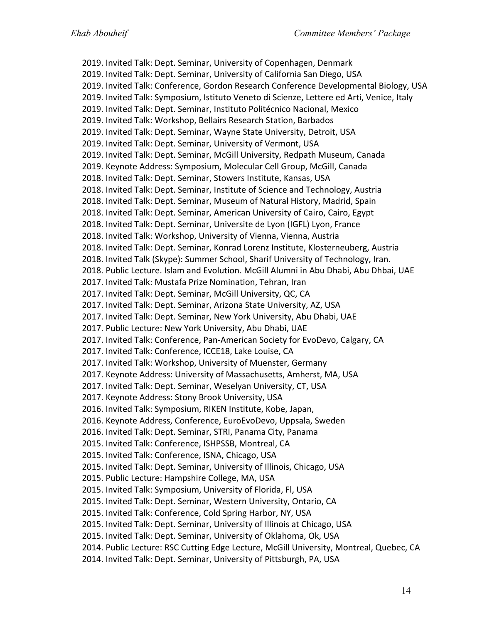2019. Invited Talk: Dept. Seminar, University of Copenhagen, Denmark 2019. Invited Talk: Dept. Seminar, University of California San Diego, USA 2019. Invited Talk: Conference, Gordon Research Conference Developmental Biology, USA 2019. Invited Talk: Symposium, Istituto Veneto di Scienze, Lettere ed Arti, Venice, Italy 2019. Invited Talk: Dept. Seminar, Instituto Politécnico Nacional, Mexico 2019. Invited Talk: Workshop, Bellairs Research Station, Barbados 2019. Invited Talk: Dept. Seminar, Wayne State University, Detroit, USA 2019. Invited Talk: Dept. Seminar, University of Vermont, USA 2019. Invited Talk: Dept. Seminar, McGill University, Redpath Museum, Canada 2019. Keynote Address: Symposium, Molecular Cell Group, McGill, Canada 2018. Invited Talk: Dept. Seminar, Stowers Institute, Kansas, USA 2018. Invited Talk: Dept. Seminar, Institute of Science and Technology, Austria 2018. Invited Talk: Dept. Seminar, Museum of Natural History, Madrid, Spain 2018. Invited Talk: Dept. Seminar, American University of Cairo, Cairo, Egypt 2018. Invited Talk: Dept. Seminar, Universite de Lyon (IGFL) Lyon, France 2018. Invited Talk: Workshop, University of Vienna, Vienna, Austria 2018. Invited Talk: Dept. Seminar, Konrad Lorenz Institute, Klosterneuberg, Austria 2018. Invited Talk (Skype): Summer School, Sharif University of Technology, Iran. 2018. Public Lecture. Islam and Evolution. McGill Alumni in Abu Dhabi, Abu Dhbai, UAE 2017. Invited Talk: Mustafa Prize Nomination, Tehran, Iran 2017. Invited Talk: Dept. Seminar, McGill University, QC, CA 2017. Invited Talk: Dept. Seminar, Arizona State University, AZ, USA 2017. Invited Talk: Dept. Seminar, New York University, Abu Dhabi, UAE 2017. Public Lecture: New York University, Abu Dhabi, UAE 2017. Invited Talk: Conference, Pan-American Society for EvoDevo, Calgary, CA 2017. Invited Talk: Conference, ICCE18, Lake Louise, CA 2017. Invited Talk: Workshop, University of Muenster, Germany 2017. Keynote Address: University of Massachusetts, Amherst, MA, USA 2017. Invited Talk: Dept. Seminar, Weselyan University, CT, USA 2017. Keynote Address: Stony Brook University, USA 2016. Invited Talk: Symposium, RIKEN Institute, Kobe, Japan, 2016. Keynote Address, Conference, EuroEvoDevo, Uppsala, Sweden 2016. Invited Talk: Dept. Seminar, STRI, Panama City, Panama 2015. Invited Talk: Conference, ISHPSSB, Montreal, CA 2015. Invited Talk: Conference, ISNA, Chicago, USA 2015. Invited Talk: Dept. Seminar, University of Illinois, Chicago, USA 2015. Public Lecture: Hampshire College, MA, USA 2015. Invited Talk: Symposium, University of Florida, Fl, USA 2015. Invited Talk: Dept. Seminar, Western University, Ontario, CA 2015. Invited Talk: Conference, Cold Spring Harbor, NY, USA 2015. Invited Talk: Dept. Seminar, University of Illinois at Chicago, USA 2015. Invited Talk: Dept. Seminar, University of Oklahoma, Ok, USA 2014. Public Lecture: RSC Cutting Edge Lecture, McGill University, Montreal, Quebec, CA 2014. Invited Talk: Dept. Seminar, University of Pittsburgh, PA, USA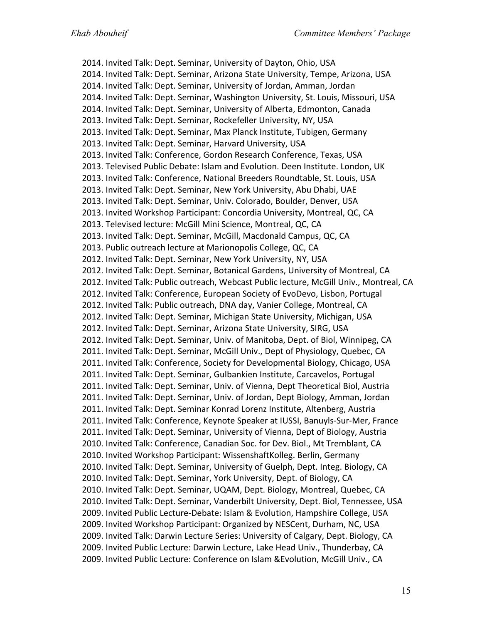2014. Invited Talk: Dept. Seminar, University of Dayton, Ohio, USA 2014. Invited Talk: Dept. Seminar, Arizona State University, Tempe, Arizona, USA 2014. Invited Talk: Dept. Seminar, University of Jordan, Amman, Jordan 2014. Invited Talk: Dept. Seminar, Washington University, St. Louis, Missouri, USA 2014. Invited Talk: Dept. Seminar, University of Alberta, Edmonton, Canada 2013. Invited Talk: Dept. Seminar, Rockefeller University, NY, USA 2013. Invited Talk: Dept. Seminar, Max Planck Institute, Tubigen, Germany 2013. Invited Talk: Dept. Seminar, Harvard University, USA 2013. Invited Talk: Conference, Gordon Research Conference, Texas, USA 2013. Televised Public Debate: Islam and Evolution. Deen Institute. London, UK 2013. Invited Talk: Conference, National Breeders Roundtable, St. Louis, USA 2013. Invited Talk: Dept. Seminar, New York University, Abu Dhabi, UAE 2013. Invited Talk: Dept. Seminar, Univ. Colorado, Boulder, Denver, USA 2013. Invited Workshop Participant: Concordia University, Montreal, QC, CA 2013. Televised lecture: McGill Mini Science, Montreal, QC, CA 2013. Invited Talk: Dept. Seminar, McGill, Macdonald Campus, QC, CA 2013. Public outreach lecture at Marionopolis College, QC, CA 2012. Invited Talk: Dept. Seminar, New York University, NY, USA 2012. Invited Talk: Dept. Seminar, Botanical Gardens, University of Montreal, CA 2012. Invited Talk: Public outreach, Webcast Public lecture, McGill Univ., Montreal, CA 2012. Invited Talk: Conference, European Society of EvoDevo, Lisbon, Portugal 2012. Invited Talk: Public outreach, DNA day, Vanier College, Montreal, CA 2012. Invited Talk: Dept. Seminar, Michigan State University, Michigan, USA 2012. Invited Talk: Dept. Seminar, Arizona State University, SIRG, USA 2012. Invited Talk: Dept. Seminar, Univ. of Manitoba, Dept. of Biol, Winnipeg, CA 2011. Invited Talk: Dept. Seminar, McGill Univ., Dept of Physiology, Quebec, CA 2011. Invited Talk: Conference, Society for Developmental Biology, Chicago, USA 2011. Invited Talk: Dept. Seminar, Gulbankien Institute, Carcavelos, Portugal 2011. Invited Talk: Dept. Seminar, Univ. of Vienna, Dept Theoretical Biol, Austria 2011. Invited Talk: Dept. Seminar, Univ. of Jordan, Dept Biology, Amman, Jordan 2011. Invited Talk: Dept. Seminar Konrad Lorenz Institute, Altenberg, Austria 2011. Invited Talk: Conference, Keynote Speaker at IUSSI, Banuyls-Sur-Mer, France 2011. Invited Talk: Dept. Seminar, University of Vienna, Dept of Biology, Austria 2010. Invited Talk: Conference, Canadian Soc. for Dev. Biol., Mt Tremblant, CA 2010. Invited Workshop Participant: WissenshaftKolleg. Berlin, Germany 2010. Invited Talk: Dept. Seminar, University of Guelph, Dept. Integ. Biology, CA 2010. Invited Talk: Dept. Seminar, York University, Dept. of Biology, CA 2010. Invited Talk: Dept. Seminar, UQAM, Dept. Biology, Montreal, Quebec, CA 2010. Invited Talk: Dept. Seminar, Vanderbilt University, Dept. Biol, Tennessee, USA 2009. Invited Public Lecture-Debate: Islam & Evolution, Hampshire College, USA 2009. Invited Workshop Participant: Organized by NESCent, Durham, NC, USA 2009. Invited Talk: Darwin Lecture Series: University of Calgary, Dept. Biology, CA 2009. Invited Public Lecture: Darwin Lecture, Lake Head Univ., Thunderbay, CA 2009. Invited Public Lecture: Conference on Islam &Evolution, McGill Univ., CA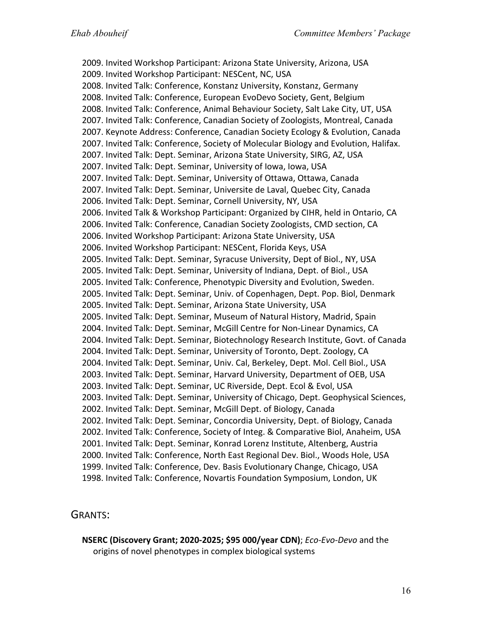2009. Invited Workshop Participant: Arizona State University, Arizona, USA 2009. Invited Workshop Participant: NESCent, NC, USA 2008. Invited Talk: Conference, Konstanz University, Konstanz, Germany 2008. Invited Talk: Conference, European EvoDevo Society, Gent, Belgium 2008. Invited Talk: Conference, Animal Behaviour Society, Salt Lake City, UT, USA 2007. Invited Talk: Conference, Canadian Society of Zoologists, Montreal, Canada 2007. Keynote Address: Conference, Canadian Society Ecology & Evolution, Canada 2007. Invited Talk: Conference, Society of Molecular Biology and Evolution, Halifax. 2007. Invited Talk: Dept. Seminar, Arizona State University, SIRG, AZ, USA 2007. Invited Talk: Dept. Seminar, University of Iowa, Iowa, USA 2007. Invited Talk: Dept. Seminar, University of Ottawa, Ottawa, Canada 2007. Invited Talk: Dept. Seminar, Universite de Laval, Quebec City, Canada 2006. Invited Talk: Dept. Seminar, Cornell University, NY, USA 2006. Invited Talk & Workshop Participant: Organized by CIHR, held in Ontario, CA 2006. Invited Talk: Conference, Canadian Society Zoologists, CMD section, CA 2006. Invited Workshop Participant: Arizona State University, USA 2006. Invited Workshop Participant: NESCent, Florida Keys, USA 2005. Invited Talk: Dept. Seminar, Syracuse University, Dept of Biol., NY, USA 2005. Invited Talk: Dept. Seminar, University of Indiana, Dept. of Biol., USA 2005. Invited Talk: Conference, Phenotypic Diversity and Evolution, Sweden. 2005. Invited Talk: Dept. Seminar, Univ. of Copenhagen, Dept. Pop. Biol, Denmark 2005. Invited Talk: Dept. Seminar, Arizona State University, USA 2005. Invited Talk: Dept. Seminar, Museum of Natural History, Madrid, Spain 2004. Invited Talk: Dept. Seminar, McGill Centre for Non-Linear Dynamics, CA 2004. Invited Talk: Dept. Seminar, Biotechnology Research Institute, Govt. of Canada 2004. Invited Talk: Dept. Seminar, University of Toronto, Dept. Zoology, CA 2004. Invited Talk: Dept. Seminar, Univ. Cal, Berkeley, Dept. Mol. Cell Biol., USA 2003. Invited Talk: Dept. Seminar, Harvard University, Department of OEB, USA 2003. Invited Talk: Dept. Seminar, UC Riverside, Dept. Ecol & Evol, USA 2003. Invited Talk: Dept. Seminar, University of Chicago, Dept. Geophysical Sciences, 2002. Invited Talk: Dept. Seminar, McGill Dept. of Biology, Canada 2002. Invited Talk: Dept. Seminar, Concordia University, Dept. of Biology, Canada 2002. Invited Talk: Conference, Society of Integ. & Comparative Biol, Anaheim, USA 2001. Invited Talk: Dept. Seminar, Konrad Lorenz Institute, Altenberg, Austria 2000. Invited Talk: Conference, North East Regional Dev. Biol., Woods Hole, USA 1999. Invited Talk: Conference, Dev. Basis Evolutionary Change, Chicago, USA 1998. Invited Talk: Conference, Novartis Foundation Symposium, London, UK

### GRANTS:

**NSERC (Discovery Grant; 2020-2025; \$95 000/year CDN)**; *Eco-Evo-Devo* and the origins of novel phenotypes in complex biological systems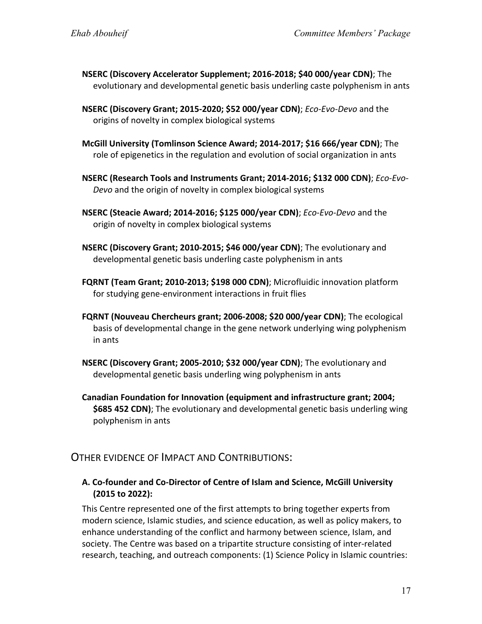- **NSERC (Discovery Accelerator Supplement; 2016-2018; \$40 000/year CDN)**; The evolutionary and developmental genetic basis underling caste polyphenism in ants
- **NSERC (Discovery Grant; 2015-2020; \$52 000/year CDN)**; *Eco-Evo-Devo* and the origins of novelty in complex biological systems
- **McGill University (Tomlinson Science Award; 2014-2017; \$16 666/year CDN)**; The role of epigenetics in the regulation and evolution of social organization in ants
- **NSERC (Research Tools and Instruments Grant; 2014-2016; \$132 000 CDN)**; *Eco-Evo-Devo* and the origin of novelty in complex biological systems
- **NSERC (Steacie Award; 2014-2016; \$125 000/year CDN)**; *Eco-Evo-Devo* and the origin of novelty in complex biological systems
- **NSERC (Discovery Grant; 2010-2015; \$46 000/year CDN)**; The evolutionary and developmental genetic basis underling caste polyphenism in ants
- **FQRNT (Team Grant; 2010-2013; \$198 000 CDN)**; Microfluidic innovation platform for studying gene-environment interactions in fruit flies
- **FQRNT (Nouveau Chercheurs grant; 2006-2008; \$20 000/year CDN)**; The ecological basis of developmental change in the gene network underlying wing polyphenism in ants
- **NSERC (Discovery Grant; 2005-2010; \$32 000/year CDN)**; The evolutionary and developmental genetic basis underling wing polyphenism in ants
- **Canadian Foundation for Innovation (equipment and infrastructure grant; 2004; \$685 452 CDN)**; The evolutionary and developmental genetic basis underling wing polyphenism in ants

# OTHER EVIDENCE OF IMPACT AND CONTRIBUTIONS:

## **A. Co-founder and Co-Director of Centre of Islam and Science, McGill University (2015 to 2022):**

This Centre represented one of the first attempts to bring together experts from modern science, Islamic studies, and science education, as well as policy makers, to enhance understanding of the conflict and harmony between science, Islam, and society. The Centre was based on a tripartite structure consisting of inter-related research, teaching, and outreach components: (1) Science Policy in Islamic countries: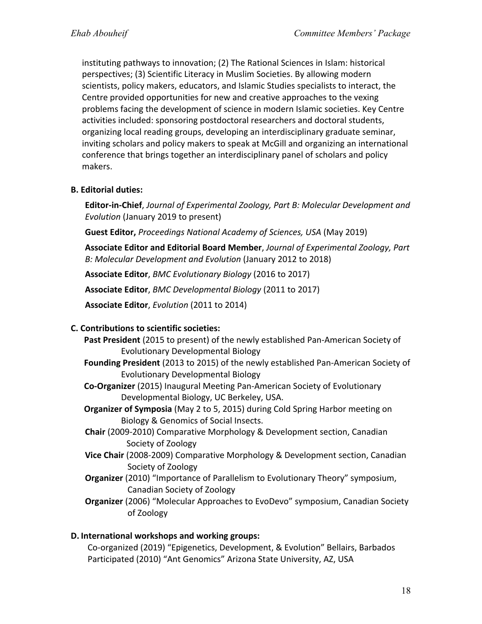instituting pathways to innovation; (2) The Rational Sciences in Islam: historical perspectives; (3) Scientific Literacy in Muslim Societies. By allowing modern scientists, policy makers, educators, and Islamic Studies specialists to interact, the Centre provided opportunities for new and creative approaches to the vexing problems facing the development of science in modern Islamic societies. Key Centre activities included: sponsoring postdoctoral researchers and doctoral students, organizing local reading groups, developing an interdisciplinary graduate seminar, inviting scholars and policy makers to speak at McGill and organizing an international conference that brings together an interdisciplinary panel of scholars and policy makers.

## **B. Editorial duties:**

**Editor-in-Chief**, *Journal of Experimental Zoology, Part B: Molecular Development and Evolution* (January 2019 to present)

**Guest Editor,** *Proceedings National Academy of Sciences, USA* (May 2019)

**Associate Editor and Editorial Board Member**, *Journal of Experimental Zoology, Part B: Molecular Development and Evolution* (January 2012 to 2018)

**Associate Editor**, *BMC Evolutionary Biology* (2016 to 2017)

**Associate Editor**, *BMC Developmental Biology* (2011 to 2017)

**Associate Editor**, *Evolution* (2011 to 2014)

### **C. Contributions to scientific societies:**

- **Past President** (2015 to present) of the newly established Pan-American Society of Evolutionary Developmental Biology
- **Founding President** (2013 to 2015) of the newly established Pan-American Society of Evolutionary Developmental Biology

**Co-Organizer** (2015) Inaugural Meeting Pan-American Society of Evolutionary Developmental Biology, UC Berkeley, USA.

- **Organizer of Symposia** (May 2 to 5, 2015) during Cold Spring Harbor meeting on Biology & Genomics of Social Insects.
- **Chair** (2009-2010) Comparative Morphology & Development section, Canadian Society of Zoology
- **Vice Chair** (2008-2009) Comparative Morphology & Development section, Canadian Society of Zoology
- **Organizer** (2010) "Importance of Parallelism to Evolutionary Theory" symposium, Canadian Society of Zoology
- **Organizer** (2006) "Molecular Approaches to EvoDevo" symposium, Canadian Society of Zoology

### **D. International workshops and working groups:**

Co-organized (2019) "Epigenetics, Development, & Evolution" Bellairs, Barbados Participated (2010) "Ant Genomics" Arizona State University, AZ, USA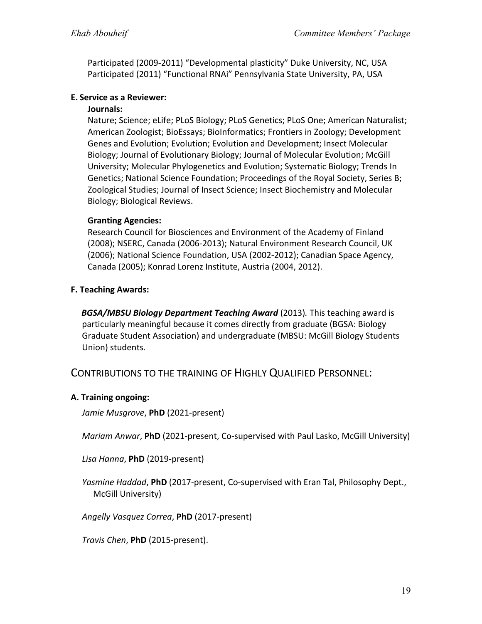Participated (2009-2011) "Developmental plasticity" Duke University, NC, USA Participated (2011) "Functional RNAi" Pennsylvania State University, PA, USA

### **E. Service as a Reviewer:**

### **Journals:**

Nature; Science; eLife; PLoS Biology; PLoS Genetics; PLoS One; American Naturalist; American Zoologist; BioEssays; BioInformatics; Frontiers in Zoology; Development Genes and Evolution; Evolution; Evolution and Development; Insect Molecular Biology; Journal of Evolutionary Biology; Journal of Molecular Evolution; McGill University; Molecular Phylogenetics and Evolution; Systematic Biology; Trends In Genetics; National Science Foundation; Proceedings of the Royal Society, Series B; Zoological Studies; Journal of Insect Science; Insect Biochemistry and Molecular Biology; Biological Reviews.

## **Granting Agencies:**

Research Council for Biosciences and Environment of the Academy of Finland (2008); NSERC, Canada (2006-2013); Natural Environment Research Council, UK (2006); National Science Foundation, USA (2002-2012); Canadian Space Agency, Canada (2005); Konrad Lorenz Institute, Austria (2004, 2012).

## **F. Teaching Awards:**

*BGSA/MBSU Biology Department Teaching Award (2013). This teaching award is* particularly meaningful because it comes directly from graduate (BGSA: Biology Graduate Student Association) and undergraduate (MBSU: McGill Biology Students Union) students.

# CONTRIBUTIONS TO THE TRAINING OF HIGHLY QUALIFIED PERSONNEL:

### **A. Training ongoing:**

*Jamie Musgrove*, **PhD** (2021-present)

*Mariam Anwar*, **PhD** (2021-present, Co-supervised with Paul Lasko, McGill University)

*Lisa Hanna*, **PhD** (2019-present)

*Yasmine Haddad*, **PhD** (2017-present, Co-supervised with Eran Tal, Philosophy Dept., McGill University)

*Angelly Vasquez Correa*, **PhD** (2017-present)

*Travis Chen*, **PhD** (2015-present).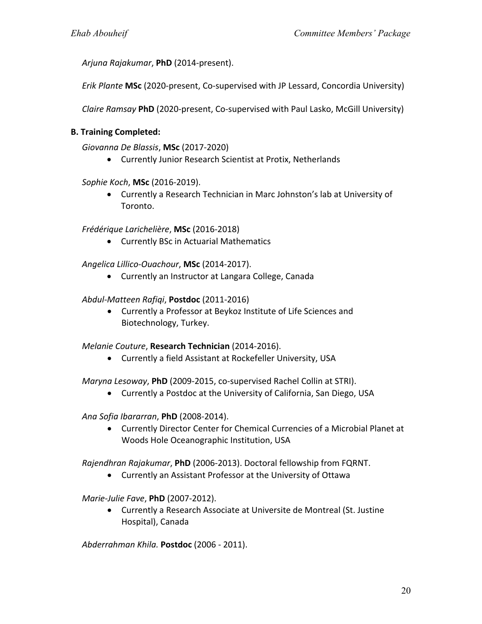*Arjuna Rajakumar*, **PhD** (2014-present).

*Erik Plante* **MSc** (2020-present, Co-supervised with JP Lessard, Concordia University)

*Claire Ramsay* **PhD** (2020-present, Co-supervised with Paul Lasko, McGill University)

#### **B. Training Completed:**

*Giovanna De Blassis*, **MSc** (2017-2020)

• Currently Junior Research Scientist at Protix, Netherlands

#### *Sophie Koch*, **MSc** (2016-2019).

• Currently a Research Technician in Marc Johnston's lab at University of Toronto.

#### *Frédérique Larichelière*, **MSc** (2016-2018)

• Currently BSc in Actuarial Mathematics

*Angelica Lillico-Ouachour*, **MSc** (2014-2017).

• Currently an Instructor at Langara College, Canada

#### *Abdul-Matteen Rafiqi*, **Postdoc** (2011-2016)

• Currently a Professor at Beykoz Institute of Life Sciences and Biotechnology, Turkey.

#### *Melanie Couture*, **Research Technician** (2014-2016).

• Currently a field Assistant at Rockefeller University, USA

*Maryna Lesoway*, **PhD** (2009-2015, co-supervised Rachel Collin at STRI).

• Currently a Postdoc at the University of California, San Diego, USA

*Ana Sofia Ibararran*, **PhD** (2008-2014).

• Currently Director Center for Chemical Currencies of a Microbial Planet at Woods Hole Oceanographic Institution, USA

*Rajendhran Rajakumar*, **PhD** (2006-2013). Doctoral fellowship from FQRNT.

• Currently an Assistant Professor at the University of Ottawa

*Marie-Julie Fave*, **PhD** (2007-2012).

• Currently a Research Associate at Universite de Montreal (St. Justine Hospital), Canada

*Abderrahman Khila.* **Postdoc** (2006 - 2011).